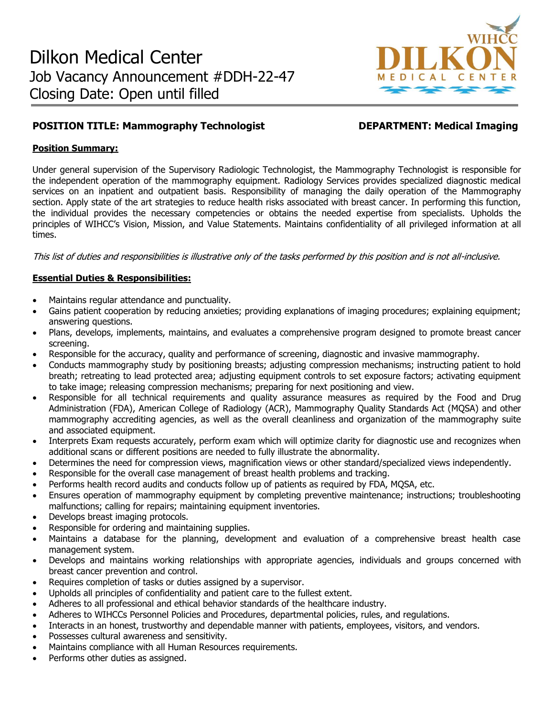

# **POSITION TITLE: Mammography Technologist DEPARTMENT: Medical Imaging**

## **Position Summary:**

Under general supervision of the Supervisory Radiologic Technologist, the Mammography Technologist is responsible for the independent operation of the mammography equipment. Radiology Services provides specialized diagnostic medical services on an inpatient and outpatient basis. Responsibility of managing the daily operation of the Mammography section. Apply state of the art strategies to reduce health risks associated with breast cancer. In performing this function, the individual provides the necessary competencies or obtains the needed expertise from specialists. Upholds the principles of WIHCC's Vision, Mission, and Value Statements. Maintains confidentiality of all privileged information at all times.

This list of duties and responsibilities is illustrative only of the tasks performed by this position and is not all-inclusive.

# **Essential Duties & Responsibilities:**

- Maintains regular attendance and punctuality.
- Gains patient cooperation by reducing anxieties; providing explanations of imaging procedures; explaining equipment; answering questions.
- Plans, develops, implements, maintains, and evaluates a comprehensive program designed to promote breast cancer screening.
- Responsible for the accuracy, quality and performance of screening, diagnostic and invasive mammography.
- Conducts mammography study by positioning breasts; adjusting compression mechanisms; instructing patient to hold breath; retreating to lead protected area; adjusting equipment controls to set exposure factors; activating equipment to take image; releasing compression mechanisms; preparing for next positioning and view.
- Responsible for all technical requirements and quality assurance measures as required by the Food and Drug Administration (FDA), American College of Radiology (ACR), Mammography Quality Standards Act (MQSA) and other mammography accrediting agencies, as well as the overall cleanliness and organization of the mammography suite and associated equipment.
- Interprets Exam requests accurately, perform exam which will optimize clarity for diagnostic use and recognizes when additional scans or different positions are needed to fully illustrate the abnormality.
- Determines the need for compression views, magnification views or other standard/specialized views independently.
- Responsible for the overall case management of breast health problems and tracking.
- Performs health record audits and conducts follow up of patients as required by FDA, MQSA, etc.
- Ensures operation of mammography equipment by completing preventive maintenance; instructions; troubleshooting malfunctions; calling for repairs; maintaining equipment inventories.
- Develops breast imaging protocols.
- Responsible for ordering and maintaining supplies.
- Maintains a database for the planning, development and evaluation of a comprehensive breast health case management system.
- Develops and maintains working relationships with appropriate agencies, individuals and groups concerned with breast cancer prevention and control.
- Requires completion of tasks or duties assigned by a supervisor.
- Upholds all principles of confidentiality and patient care to the fullest extent.
- Adheres to all professional and ethical behavior standards of the healthcare industry.
- Adheres to WIHCCs Personnel Policies and Procedures, departmental policies, rules, and regulations.
- Interacts in an honest, trustworthy and dependable manner with patients, employees, visitors, and vendors.
- Possesses cultural awareness and sensitivity.
- Maintains compliance with all Human Resources requirements.
- Performs other duties as assigned.